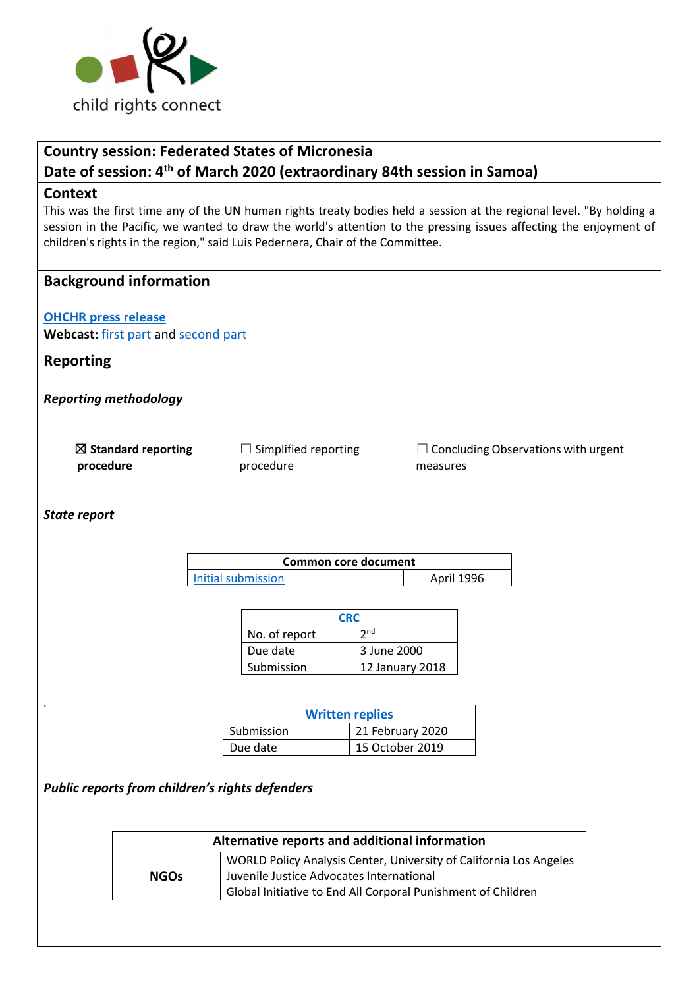

# **Country session: Federated States of Micronesia Date of session: 4th of March 2020 (extraordinary 84th session in Samoa)**

#### **Context**

This was the first time any of the UN human rights treaty bodies held a session at the regional level. "By holding a session in the Pacific, we wanted to draw the world's attention to the pressing issues affecting the enjoyment of children's rights in the region," said Luis Pedernera, Chair of the Committee.

### **Background information**

**OHCHR press release Webcast:** first part and second part

# **Reporting**

*Reporting methodology*

☒ **Standard reporting procedure**

 $\Box$  Simplified reporting procedure

 $\Box$  Concluding Observations with urgent measures

*State report*

*.* 

| Common core document      |                   |  |
|---------------------------|-------------------|--|
| <b>Initial submission</b> | <b>April 1996</b> |  |

| <b>CRC</b>    |                 |  |
|---------------|-----------------|--|
| No. of report | 2 <sub>nd</sub> |  |
| Due date      | 3 June 2000     |  |
| Submission    | 12 January 2018 |  |

| <b>Written replies</b> |                  |  |
|------------------------|------------------|--|
| Submission             | 21 February 2020 |  |
| Due date               | 15 October 2019  |  |

*Public reports from children's rights defenders*

| Alternative reports and additional information |                                                                                                                                                                                |  |
|------------------------------------------------|--------------------------------------------------------------------------------------------------------------------------------------------------------------------------------|--|
| <b>NGOs</b>                                    | WORLD Policy Analysis Center, University of California Los Angeles<br>Juvenile Justice Advocates International<br>Global Initiative to End All Corporal Punishment of Children |  |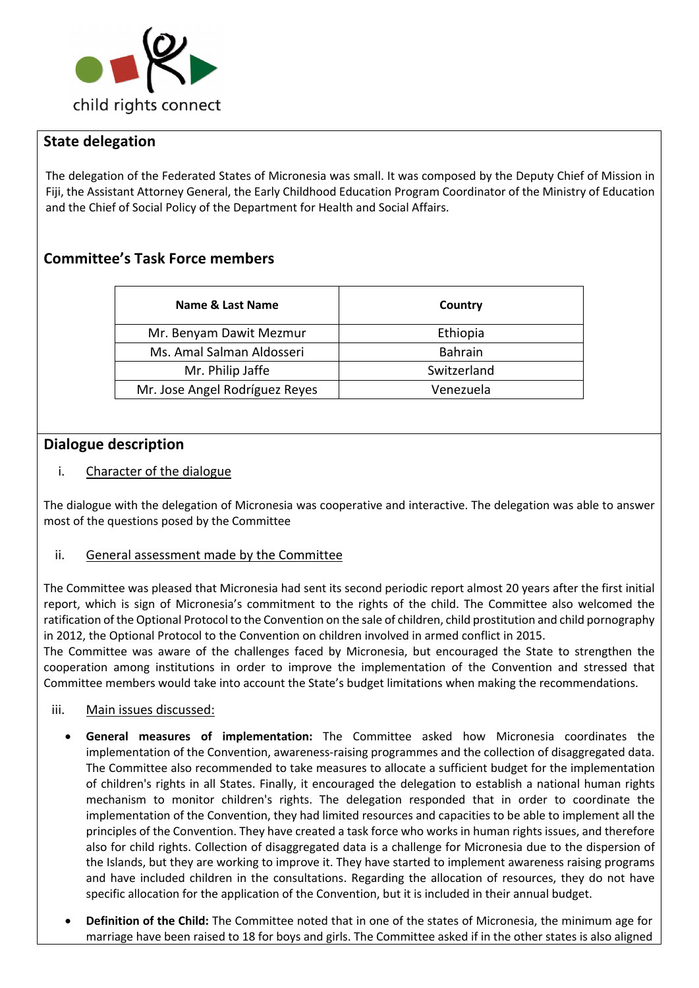

# **State delegation**

The delegation of the Federated States of Micronesia was small. It was composed by the Deputy Chief of Mission in Fiji, the Assistant Attorney General, the Early Childhood Education Program Coordinator of the Ministry of Education and the Chief of Social Policy of the Department for Health and Social Affairs.

# **Committee's Task Force members**

| Name & Last Name               | Country        |
|--------------------------------|----------------|
| Mr. Benyam Dawit Mezmur        | Ethiopia       |
| Ms. Amal Salman Aldosseri      | <b>Bahrain</b> |
| Mr. Philip Jaffe               | Switzerland    |
| Mr. Jose Angel Rodríguez Reyes | Venezuela      |

# **Dialogue description**

i. Character of the dialogue

The dialogue with the delegation of Micronesia was cooperative and interactive. The delegation was able to answer most of the questions posed by the Committee

### ii. General assessment made by the Committee

The Committee was pleased that Micronesia had sent its second periodic report almost 20 years after the first initial report, which is sign of Micronesia's commitment to the rights of the child. The Committee also welcomed the ratification of the Optional Protocol to the Convention on the sale of children, child prostitution and child pornography in 2012, the Optional Protocol to the Convention on children involved in armed conflict in 2015.

The Committee was aware of the challenges faced by Micronesia, but encouraged the State to strengthen the cooperation among institutions in order to improve the implementation of the Convention and stressed that Committee members would take into account the State's budget limitations when making the recommendations.

- iii. Main issues discussed:
	- **General measures of implementation:** The Committee asked how Micronesia coordinates the implementation of the Convention, awareness-raising programmes and the collection of disaggregated data. The Committee also recommended to take measures to allocate a sufficient budget for the implementation of children's rights in all States. Finally, it encouraged the delegation to establish a national human rights mechanism to monitor children's rights. The delegation responded that in order to coordinate the implementation of the Convention, they had limited resources and capacities to be able to implement all the principles of the Convention. They have created a task force who works in human rights issues, and therefore also for child rights. Collection of disaggregated data is a challenge for Micronesia due to the dispersion of the Islands, but they are working to improve it. They have started to implement awareness raising programs and have included children in the consultations. Regarding the allocation of resources, they do not have specific allocation for the application of the Convention, but it is included in their annual budget.
	- **Definition of the Child:** The Committee noted that in one of the states of Micronesia, the minimum age for marriage have been raised to 18 for boys and girls. The Committee asked if in the other states is also aligned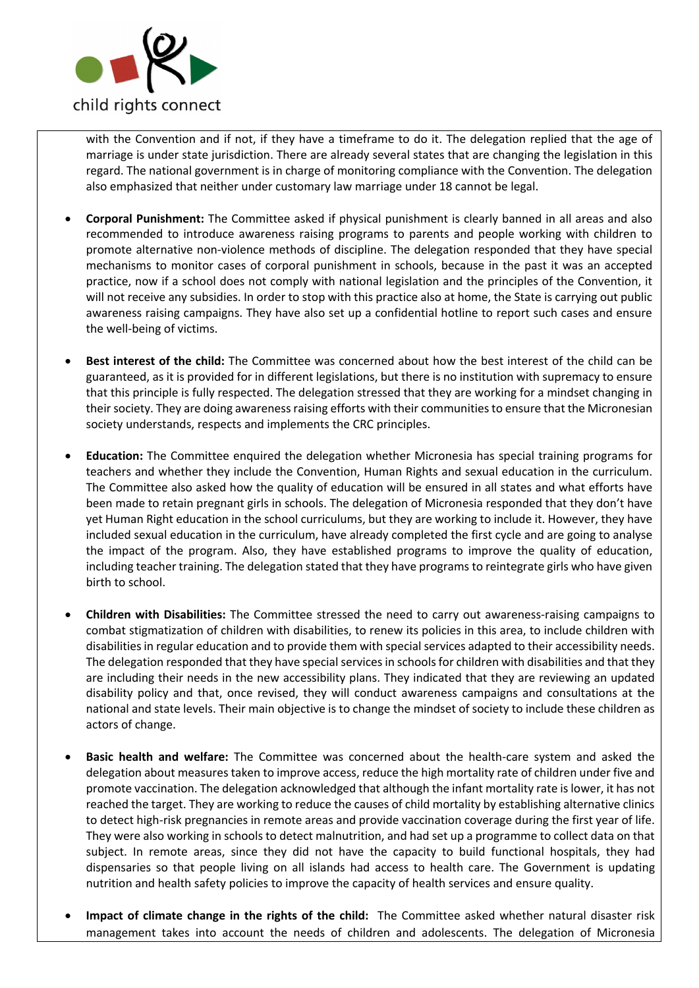

with the Convention and if not, if they have a timeframe to do it. The delegation replied that the age of marriage is under state jurisdiction. There are already several states that are changing the legislation in this regard. The national government is in charge of monitoring compliance with the Convention. The delegation also emphasized that neither under customary law marriage under 18 cannot be legal.

- **Corporal Punishment:** The Committee asked if physical punishment is clearly banned in all areas and also recommended to introduce awareness raising programs to parents and people working with children to promote alternative non-violence methods of discipline. The delegation responded that they have special mechanisms to monitor cases of corporal punishment in schools, because in the past it was an accepted practice, now if a school does not comply with national legislation and the principles of the Convention, it will not receive any subsidies. In order to stop with this practice also at home, the State is carrying out public awareness raising campaigns. They have also set up a confidential hotline to report such cases and ensure the well-being of victims.
- **Best interest of the child:** The Committee was concerned about how the best interest of the child can be guaranteed, as it is provided for in different legislations, but there is no institution with supremacy to ensure that this principle is fully respected. The delegation stressed that they are working for a mindset changing in their society. They are doing awareness raising efforts with their communities to ensure that the Micronesian society understands, respects and implements the CRC principles.
- **Education:** The Committee enquired the delegation whether Micronesia has special training programs for teachers and whether they include the Convention, Human Rights and sexual education in the curriculum. The Committee also asked how the quality of education will be ensured in all states and what efforts have been made to retain pregnant girls in schools. The delegation of Micronesia responded that they don't have yet Human Right education in the school curriculums, but they are working to include it. However, they have included sexual education in the curriculum, have already completed the first cycle and are going to analyse the impact of the program. Also, they have established programs to improve the quality of education, including teacher training. The delegation stated that they have programs to reintegrate girls who have given birth to school.
- **Children with Disabilities:** The Committee stressed the need to carry out awareness-raising campaigns to combat stigmatization of children with disabilities, to renew its policies in this area, to include children with disabilities in regular education and to provide them with special services adapted to their accessibility needs. The delegation responded that they have special services in schools for children with disabilities and that they are including their needs in the new accessibility plans. They indicated that they are reviewing an updated disability policy and that, once revised, they will conduct awareness campaigns and consultations at the national and state levels. Their main objective is to change the mindset of society to include these children as actors of change.
- **Basic health and welfare:** The Committee was concerned about the health-care system and asked the delegation about measures taken to improve access, reduce the high mortality rate of children under five and promote vaccination. The delegation acknowledged that although the infant mortality rate is lower, it has not reached the target. They are working to reduce the causes of child mortality by establishing alternative clinics to detect high-risk pregnancies in remote areas and provide vaccination coverage during the first year of life. They were also working in schools to detect malnutrition, and had set up a programme to collect data on that subject. In remote areas, since they did not have the capacity to build functional hospitals, they had dispensaries so that people living on all islands had access to health care. The Government is updating nutrition and health safety policies to improve the capacity of health services and ensure quality.
- **Impact of climate change in the rights of the child:** The Committee asked whether natural disaster risk management takes into account the needs of children and adolescents. The delegation of Micronesia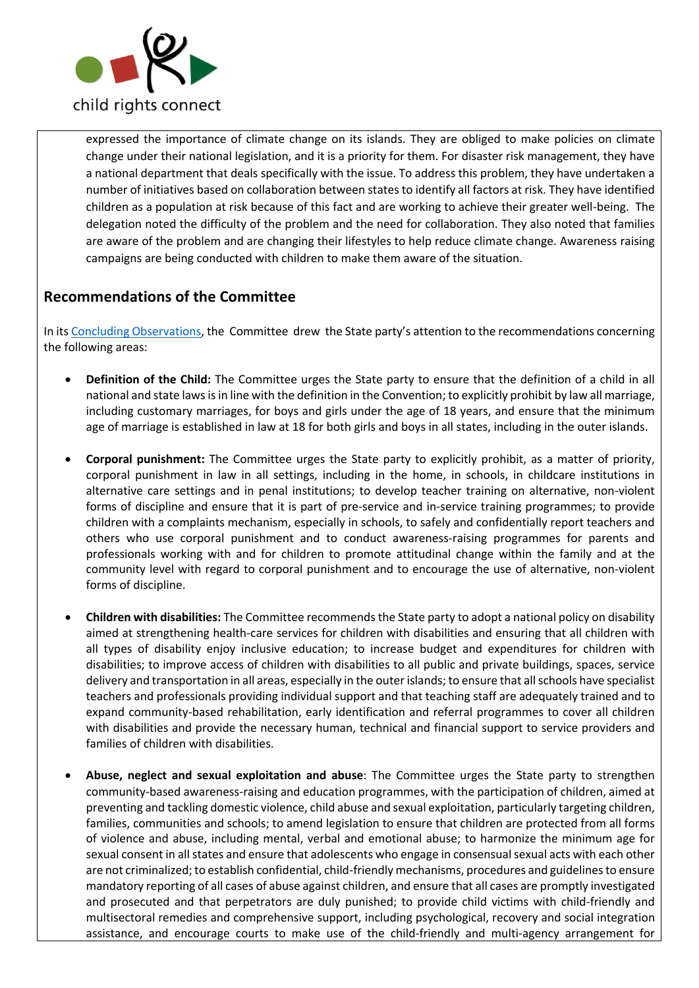

expressed the importance of climate change on its islands. They are obliged to make policies on climate change under their national legislation, and it is a priority for them. For disaster risk management, they have a national department that deals specifically with the issue. To address this problem, they have undertaken a number of initiatives based on collaboration between states to identify all factors at risk. They have identified children as a population at risk because of this fact and are working to achieve their greater well-being. The delegation noted the difficulty of the problem and the need for collaboration. They also noted that families are aware of the problem and are changing their lifestyles to help reduce climate change. Awareness raising campaigns are being conducted with children to make them aware of the situation.

# **Recommendations of the Committee**

In its Concluding Observations, the Committee drew the State party's attention to the recommendations concerning the following areas:

- **Definition of the Child:** The Committee urges the State party to ensure that the definition of a child in all national and state laws is in line with the definition in the Convention; to explicitly prohibit by law all marriage, including customary marriages, for boys and girls under the age of 18 years, and ensure that the minimum age of marriage is established in law at 18 for both girls and boys in all states, including in the outer islands.
- **Corporal punishment:** The Committee urges the State party to explicitly prohibit, as a matter of priority, corporal punishment in law in all settings, including in the home, in schools, in childcare institutions in alternative care settings and in penal institutions; to develop teacher training on alternative, non-violent forms of discipline and ensure that it is part of pre-service and in-service training programmes; to provide children with a complaints mechanism, especially in schools, to safely and confidentially report teachers and others who use corporal punishment and to conduct awareness-raising programmes for parents and professionals working with and for children to promote attitudinal change within the family and at the community level with regard to corporal punishment and to encourage the use of alternative, non-violent forms of discipline.
- **Children with disabilities:** The Committee recommends the State party to adopt a national policy on disability aimed at strengthening health-care services for children with disabilities and ensuring that all children with all types of disability enjoy inclusive education; to increase budget and expenditures for children with disabilities; to improve access of children with disabilities to all public and private buildings, spaces, service delivery and transportation in all areas, especially in the outer islands; to ensure that all schools have specialist teachers and professionals providing individual support and that teaching staff are adequately trained and to expand community-based rehabilitation, early identification and referral programmes to cover all children with disabilities and provide the necessary human, technical and financial support to service providers and families of children with disabilities.
- **Abuse, neglect and sexual exploitation and abuse**: The Committee urges the State party to strengthen community-based awareness-raising and education programmes, with the participation of children, aimed at preventing and tackling domestic violence, child abuse and sexual exploitation, particularly targeting children, families, communities and schools; to amend legislation to ensure that children are protected from all forms of violence and abuse, including mental, verbal and emotional abuse; to harmonize the minimum age for sexual consent in all states and ensure that adolescents who engage in consensual sexual acts with each other are not criminalized; to establish confidential, child-friendly mechanisms, procedures and guidelines to ensure mandatory reporting of all cases of abuse against children, and ensure that all cases are promptly investigated and prosecuted and that perpetrators are duly punished; to provide child victims with child-friendly and multisectoral remedies and comprehensive support, including psychological, recovery and social integration assistance, and encourage courts to make use of the child-friendly and multi-agency arrangement for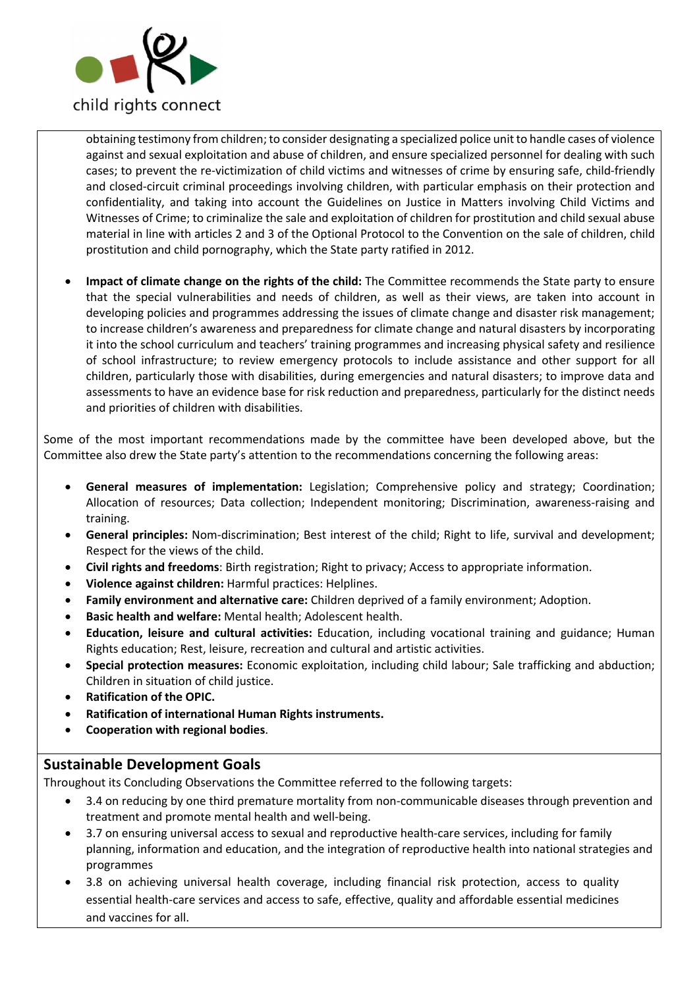

obtaining testimony from children; to consider designating a specialized police unit to handle cases of violence against and sexual exploitation and abuse of children, and ensure specialized personnel for dealing with such cases; to prevent the re-victimization of child victims and witnesses of crime by ensuring safe, child-friendly and closed-circuit criminal proceedings involving children, with particular emphasis on their protection and confidentiality, and taking into account the Guidelines on Justice in Matters involving Child Victims and Witnesses of Crime; to criminalize the sale and exploitation of children for prostitution and child sexual abuse material in line with articles 2 and 3 of the Optional Protocol to the Convention on the sale of children, child prostitution and child pornography, which the State party ratified in 2012.

• **Impact of climate change on the rights of the child:** The Committee recommends the State party to ensure that the special vulnerabilities and needs of children, as well as their views, are taken into account in developing policies and programmes addressing the issues of climate change and disaster risk management; to increase children's awareness and preparedness for climate change and natural disasters by incorporating it into the school curriculum and teachers' training programmes and increasing physical safety and resilience of school infrastructure; to review emergency protocols to include assistance and other support for all children, particularly those with disabilities, during emergencies and natural disasters; to improve data and assessments to have an evidence base for risk reduction and preparedness, particularly for the distinct needs and priorities of children with disabilities.

Some of the most important recommendations made by the committee have been developed above, but the Committee also drew the State party's attention to the recommendations concerning the following areas:

- **General measures of implementation:** Legislation; Comprehensive policy and strategy; Coordination; Allocation of resources; Data collection; Independent monitoring; Discrimination, awareness-raising and training.
- **General principles:** Nom-discrimination; Best interest of the child; Right to life, survival and development; Respect for the views of the child.
- **Civil rights and freedoms**: Birth registration; Right to privacy; Access to appropriate information.
- **Violence against children:** Harmful practices: Helplines.
- **Family environment and alternative care:** Children deprived of a family environment; Adoption.
- **Basic health and welfare:** Mental health; Adolescent health.
- **Education, leisure and cultural activities:** Education, including vocational training and guidance; Human Rights education; Rest, leisure, recreation and cultural and artistic activities.
- **Special protection measures:** Economic exploitation, including child labour; Sale trafficking and abduction; Children in situation of child justice.
- **Ratification of the OPIC.**
- **Ratification of international Human Rights instruments.**
- **Cooperation with regional bodies**.

### **Sustainable Development Goals**

Throughout its Concluding Observations the Committee referred to the following targets:

- 3.4 on reducing by one third premature mortality from non-communicable diseases through prevention and treatment and promote mental health and well-being.
- 3.7 on ensuring universal access to sexual and reproductive health-care services, including for family planning, information and education, and the integration of reproductive health into national strategies and programmes
- 3.8 on achieving universal health coverage, including financial risk protection, access to quality essential health-care services and access to safe, effective, quality and affordable essential medicines and vaccines for all.